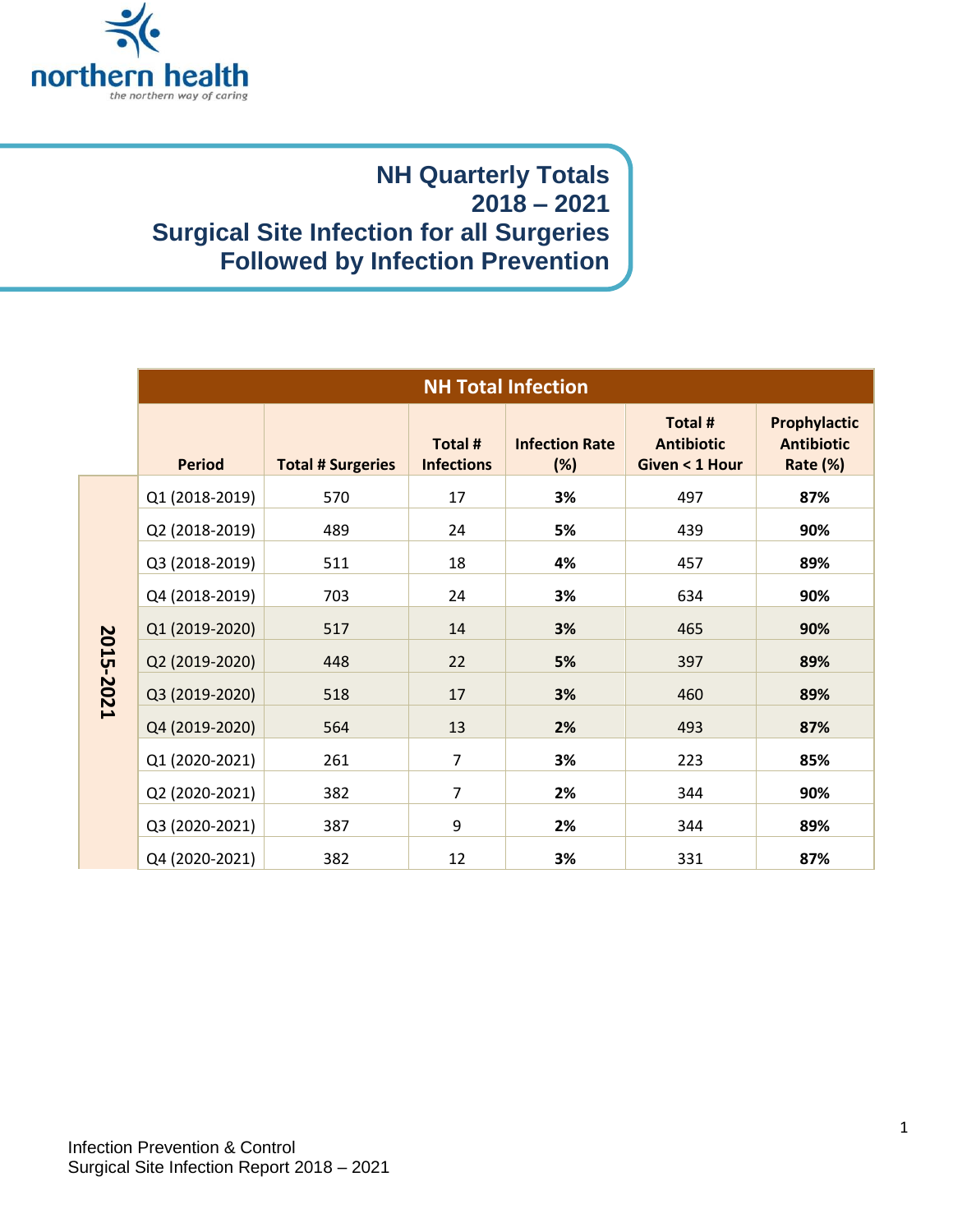

## **NH Quarterly Totals 2018 – 2021 Surgical Site Infection for all Surgeries Followed by Infection Prevention**

|           | <b>NH Total Infection</b> |                          |                              |                              |                                                |                                               |
|-----------|---------------------------|--------------------------|------------------------------|------------------------------|------------------------------------------------|-----------------------------------------------|
|           | <b>Period</b>             | <b>Total # Surgeries</b> | Total #<br><b>Infections</b> | <b>Infection Rate</b><br>(%) | Total #<br><b>Antibiotic</b><br>Given < 1 Hour | Prophylactic<br><b>Antibiotic</b><br>Rate (%) |
| 2015-2021 | Q1 (2018-2019)            | 570                      | 17                           | 3%                           | 497                                            | 87%                                           |
|           | Q2 (2018-2019)            | 489                      | 24                           | 5%                           | 439                                            | 90%                                           |
|           | Q3 (2018-2019)            | 511                      | 18                           | 4%                           | 457                                            | 89%                                           |
|           | Q4 (2018-2019)            | 703                      | 24                           | 3%                           | 634                                            | 90%                                           |
|           | Q1 (2019-2020)            | 517                      | 14                           | 3%                           | 465                                            | 90%                                           |
|           | Q2 (2019-2020)            | 448                      | 22                           | 5%                           | 397                                            | 89%                                           |
|           | Q3 (2019-2020)            | 518                      | 17                           | 3%                           | 460                                            | 89%                                           |
|           | Q4 (2019-2020)            | 564                      | 13                           | 2%                           | 493                                            | 87%                                           |
|           | Q1 (2020-2021)            | 261                      | $\overline{7}$               | 3%                           | 223                                            | 85%                                           |
|           | Q2 (2020-2021)            | 382                      | $\overline{7}$               | 2%                           | 344                                            | 90%                                           |
|           | Q3 (2020-2021)            | 387                      | 9                            | 2%                           | 344                                            | 89%                                           |
|           | Q4 (2020-2021)            | 382                      | 12                           | 3%                           | 331                                            | 87%                                           |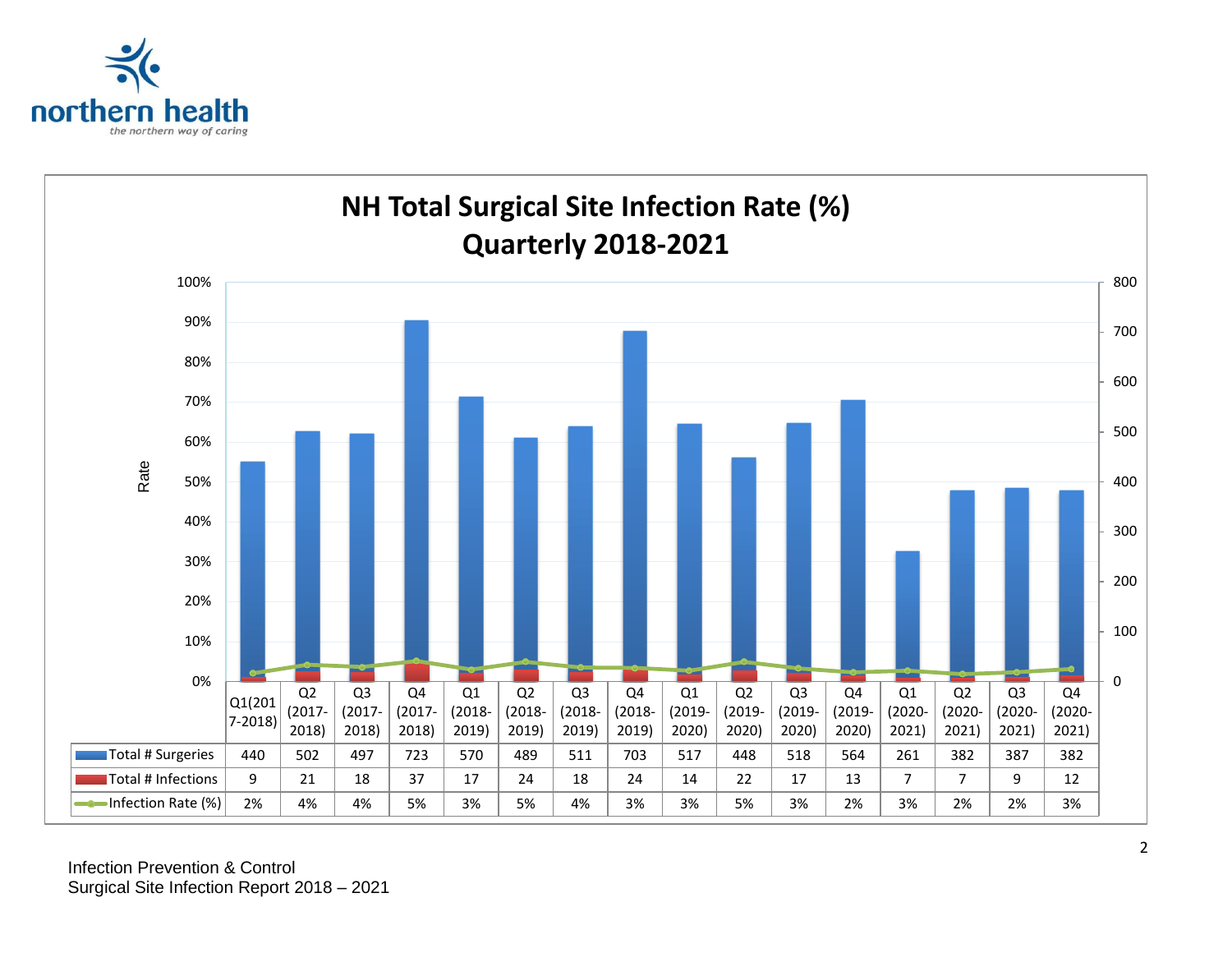